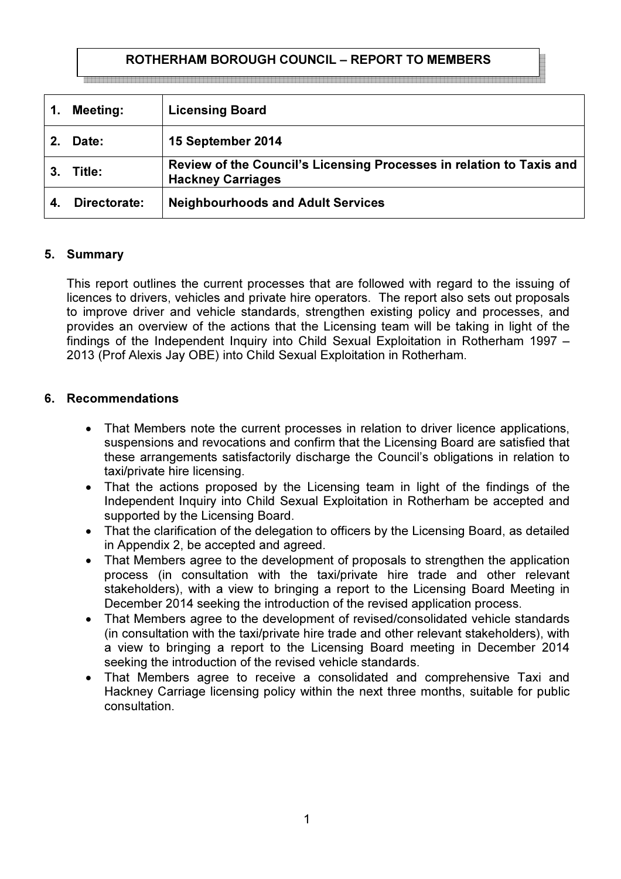# ROTHERHAM BOROUGH COUNCIL – REPORT TO MEMBERS

|    | Meeting:     | <b>Licensing Board</b>                                                                           |
|----|--------------|--------------------------------------------------------------------------------------------------|
|    | Date:        | 15 September 2014                                                                                |
| З. | ⊺itle:       | Review of the Council's Licensing Processes in relation to Taxis and<br><b>Hackney Carriages</b> |
|    | Directorate: | <b>Neighbourhoods and Adult Services</b>                                                         |

### 5. Summary

This report outlines the current processes that are followed with regard to the issuing of licences to drivers, vehicles and private hire operators. The report also sets out proposals to improve driver and vehicle standards, strengthen existing policy and processes, and provides an overview of the actions that the Licensing team will be taking in light of the findings of the Independent Inquiry into Child Sexual Exploitation in Rotherham 1997 – 2013 (Prof Alexis Jay OBE) into Child Sexual Exploitation in Rotherham.

### 6. Recommendations

- That Members note the current processes in relation to driver licence applications, suspensions and revocations and confirm that the Licensing Board are satisfied that these arrangements satisfactorily discharge the Council's obligations in relation to taxi/private hire licensing.
- That the actions proposed by the Licensing team in light of the findings of the Independent Inquiry into Child Sexual Exploitation in Rotherham be accepted and supported by the Licensing Board.
- That the clarification of the delegation to officers by the Licensing Board, as detailed in Appendix 2, be accepted and agreed.
- That Members agree to the development of proposals to strengthen the application process (in consultation with the taxi/private hire trade and other relevant stakeholders), with a view to bringing a report to the Licensing Board Meeting in December 2014 seeking the introduction of the revised application process.
- That Members agree to the development of revised/consolidated vehicle standards (in consultation with the taxi/private hire trade and other relevant stakeholders), with a view to bringing a report to the Licensing Board meeting in December 2014 seeking the introduction of the revised vehicle standards.
- That Members agree to receive a consolidated and comprehensive Taxi and Hackney Carriage licensing policy within the next three months, suitable for public consultation.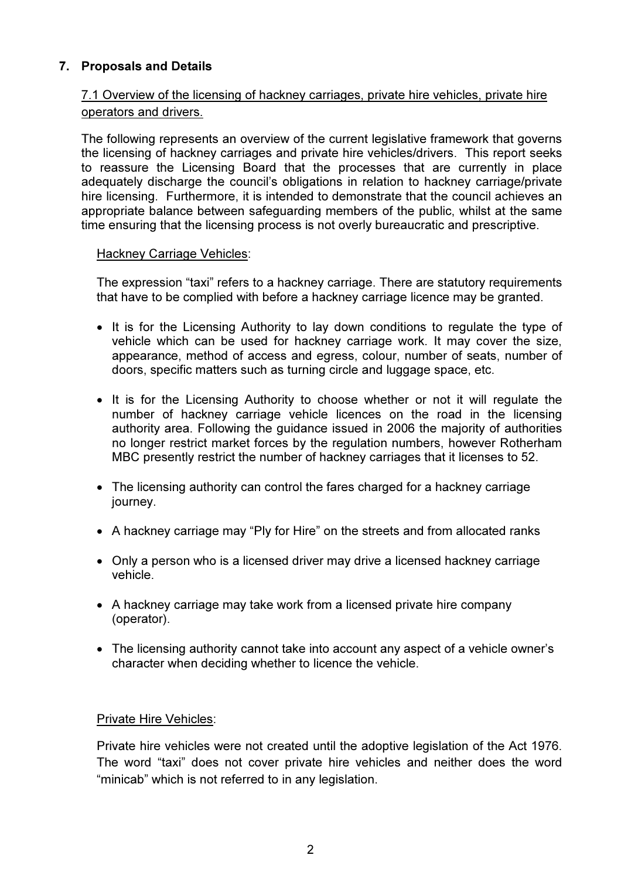# 7. Proposals and Details

# 7.1 Overview of the licensing of hackney carriages, private hire vehicles, private hire operators and drivers.

The following represents an overview of the current legislative framework that governs the licensing of hackney carriages and private hire vehicles/drivers. This report seeks to reassure the Licensing Board that the processes that are currently in place adequately discharge the council's obligations in relation to hackney carriage/private hire licensing. Furthermore, it is intended to demonstrate that the council achieves an appropriate balance between safeguarding members of the public, whilst at the same time ensuring that the licensing process is not overly bureaucratic and prescriptive.

# Hackney Carriage Vehicles:

The expression "taxi" refers to a hackney carriage. There are statutory requirements that have to be complied with before a hackney carriage licence may be granted.

- It is for the Licensing Authority to lay down conditions to regulate the type of vehicle which can be used for hackney carriage work. It may cover the size, appearance, method of access and egress, colour, number of seats, number of doors, specific matters such as turning circle and luggage space, etc.
- It is for the Licensing Authority to choose whether or not it will regulate the number of hackney carriage vehicle licences on the road in the licensing authority area. Following the guidance issued in 2006 the majority of authorities no longer restrict market forces by the regulation numbers, however Rotherham MBC presently restrict the number of hackney carriages that it licenses to 52.
- The licensing authority can control the fares charged for a hackney carriage journey.
- A hackney carriage may "Ply for Hire" on the streets and from allocated ranks
- Only a person who is a licensed driver may drive a licensed hackney carriage vehicle.
- A hackney carriage may take work from a licensed private hire company (operator).
- The licensing authority cannot take into account any aspect of a vehicle owner's character when deciding whether to licence the vehicle.

# Private Hire Vehicles:

Private hire vehicles were not created until the adoptive legislation of the Act 1976. The word "taxi" does not cover private hire vehicles and neither does the word "minicab" which is not referred to in any legislation.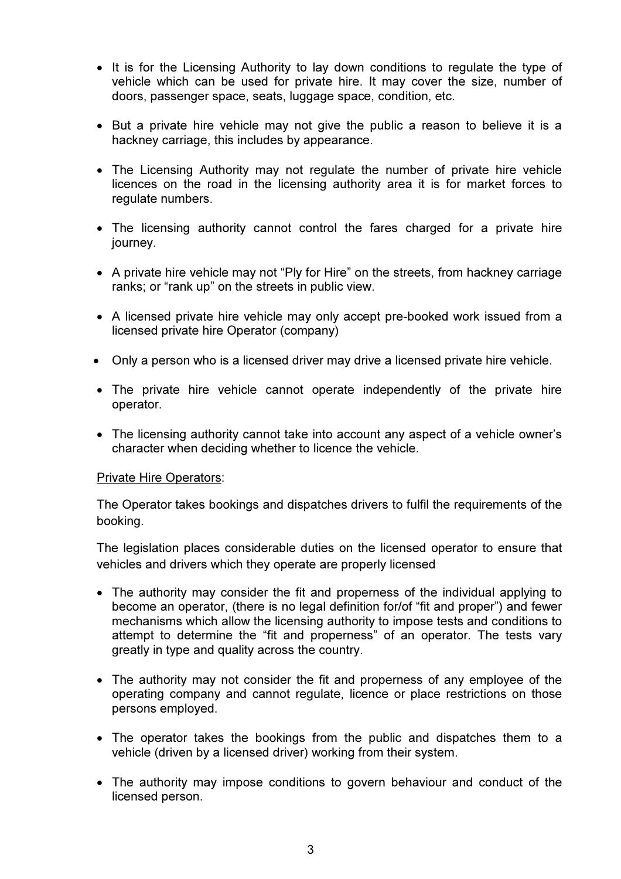- It is for the Licensing Authority to lay down conditions to regulate the type of vehicle which can be used for private hire. It may cover the size, number of doors, passenger space, seats, luggage space, condition, etc.
- But a private hire vehicle may not give the public a reason to believe it is a hackney carriage, this includes by appearance.
- The Licensing Authority may not regulate the number of private hire vehicle licences on the road in the licensing authority area it is for market forces to regulate numbers.
- The licensing authority cannot control the fares charged for a private hire journey.
- A private hire vehicle may not "Ply for Hire" on the streets, from hackney carriage ranks; or "rank up" on the streets in public view.
- A licensed private hire vehicle may only accept pre-booked work issued from a licensed private hire Operator (company)
- Only a person who is a licensed driver may drive a licensed private hire vehicle.
- The private hire vehicle cannot operate independently of the private hire operator.
- The licensing authority cannot take into account any aspect of a vehicle owner's character when deciding whether to licence the vehicle.

#### Private Hire Operators:

The Operator takes bookings and dispatches drivers to fulfil the requirements of the booking.

The legislation places considerable duties on the licensed operator to ensure that vehicles and drivers which they operate are properly licensed

- The authority may consider the fit and properness of the individual applying to become an operator, (there is no legal definition for/of "fit and proper") and fewer mechanisms which allow the licensing authority to impose tests and conditions to attempt to determine the "fit and properness" of an operator. The tests vary greatly in type and quality across the country.
- The authority may not consider the fit and properness of any employee of the operating company and cannot regulate, licence or place restrictions on those persons employed.
- The operator takes the bookings from the public and dispatches them to a vehicle (driven by a licensed driver) working from their system.
- The authority may impose conditions to govern behaviour and conduct of the licensed person.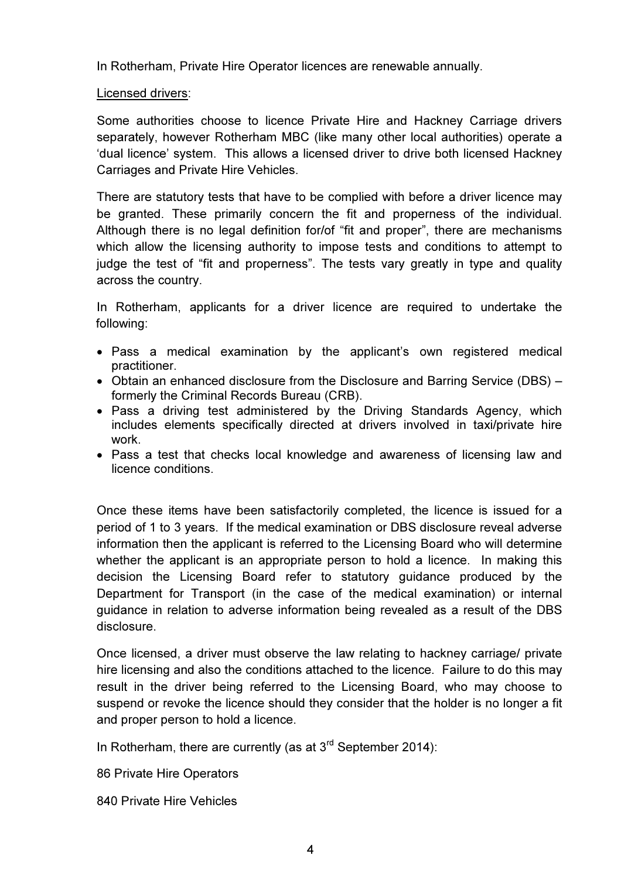In Rotherham, Private Hire Operator licences are renewable annually.

# Licensed drivers:

Some authorities choose to licence Private Hire and Hackney Carriage drivers separately, however Rotherham MBC (like many other local authorities) operate a 'dual licence' system. This allows a licensed driver to drive both licensed Hackney Carriages and Private Hire Vehicles.

There are statutory tests that have to be complied with before a driver licence may be granted. These primarily concern the fit and properness of the individual. Although there is no legal definition for/of "fit and proper", there are mechanisms which allow the licensing authority to impose tests and conditions to attempt to judge the test of "fit and properness". The tests vary greatly in type and quality across the country.

In Rotherham, applicants for a driver licence are required to undertake the following:

- Pass a medical examination by the applicant's own registered medical practitioner.
- Obtain an enhanced disclosure from the Disclosure and Barring Service (DBS) formerly the Criminal Records Bureau (CRB).
- Pass a driving test administered by the Driving Standards Agency, which includes elements specifically directed at drivers involved in taxi/private hire work.
- Pass a test that checks local knowledge and awareness of licensing law and licence conditions.

Once these items have been satisfactorily completed, the licence is issued for a period of 1 to 3 years. If the medical examination or DBS disclosure reveal adverse information then the applicant is referred to the Licensing Board who will determine whether the applicant is an appropriate person to hold a licence. In making this decision the Licensing Board refer to statutory guidance produced by the Department for Transport (in the case of the medical examination) or internal guidance in relation to adverse information being revealed as a result of the DBS disclosure.

Once licensed, a driver must observe the law relating to hackney carriage/ private hire licensing and also the conditions attached to the licence. Failure to do this may result in the driver being referred to the Licensing Board, who may choose to suspend or revoke the licence should they consider that the holder is no longer a fit and proper person to hold a licence.

In Rotherham, there are currently (as at  $3^{rd}$  September 2014):

86 Private Hire Operators

840 Private Hire Vehicles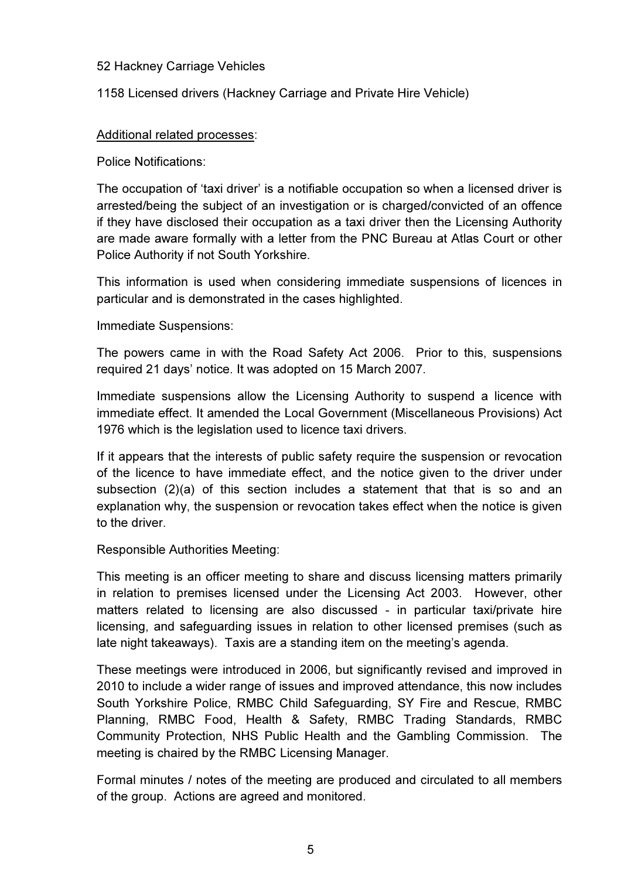# 52 Hackney Carriage Vehicles

1158 Licensed drivers (Hackney Carriage and Private Hire Vehicle)

# Additional related processes:

Police Notifications:

The occupation of 'taxi driver' is a notifiable occupation so when a licensed driver is arrested/being the subject of an investigation or is charged/convicted of an offence if they have disclosed their occupation as a taxi driver then the Licensing Authority are made aware formally with a letter from the PNC Bureau at Atlas Court or other Police Authority if not South Yorkshire.

This information is used when considering immediate suspensions of licences in particular and is demonstrated in the cases highlighted.

Immediate Suspensions:

The powers came in with the Road Safety Act 2006. Prior to this, suspensions required 21 days' notice. It was adopted on 15 March 2007.

Immediate suspensions allow the Licensing Authority to suspend a licence with immediate effect. It amended the Local Government (Miscellaneous Provisions) Act 1976 which is the legislation used to licence taxi drivers.

If it appears that the interests of public safety require the suspension or revocation of the licence to have immediate effect, and the notice given to the driver under subsection (2)(a) of this section includes a statement that that is so and an explanation why, the suspension or revocation takes effect when the notice is given to the driver.

Responsible Authorities Meeting:

This meeting is an officer meeting to share and discuss licensing matters primarily in relation to premises licensed under the Licensing Act 2003. However, other matters related to licensing are also discussed - in particular taxi/private hire licensing, and safeguarding issues in relation to other licensed premises (such as late night takeaways). Taxis are a standing item on the meeting's agenda.

These meetings were introduced in 2006, but significantly revised and improved in 2010 to include a wider range of issues and improved attendance, this now includes South Yorkshire Police, RMBC Child Safeguarding, SY Fire and Rescue, RMBC Planning, RMBC Food, Health & Safety, RMBC Trading Standards, RMBC Community Protection, NHS Public Health and the Gambling Commission. The meeting is chaired by the RMBC Licensing Manager.

Formal minutes / notes of the meeting are produced and circulated to all members of the group. Actions are agreed and monitored.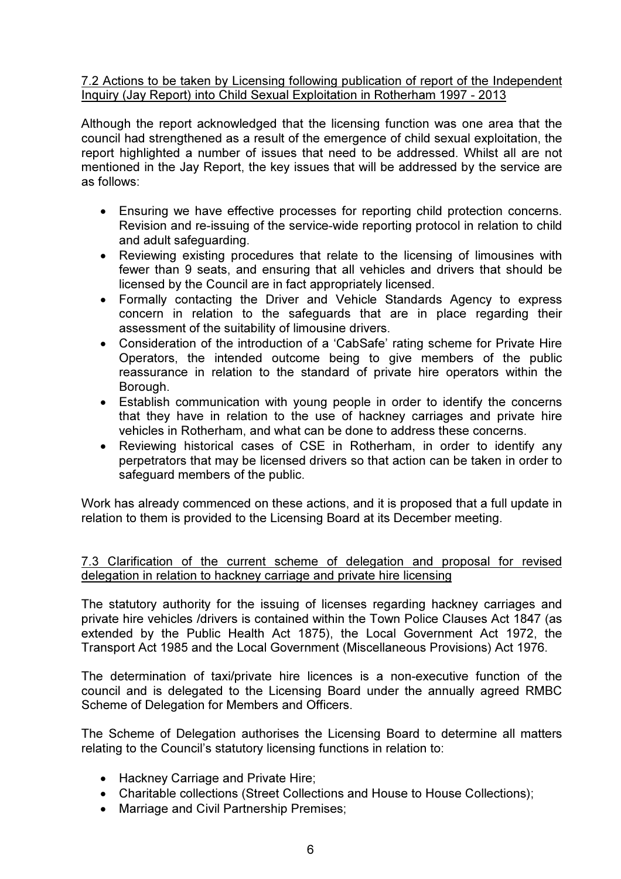# 7.2 Actions to be taken by Licensing following publication of report of the Independent Inquiry (Jay Report) into Child Sexual Exploitation in Rotherham 1997 - 2013

Although the report acknowledged that the licensing function was one area that the council had strengthened as a result of the emergence of child sexual exploitation, the report highlighted a number of issues that need to be addressed. Whilst all are not mentioned in the Jay Report, the key issues that will be addressed by the service are as follows:

- Ensuring we have effective processes for reporting child protection concerns. Revision and re-issuing of the service-wide reporting protocol in relation to child and adult safeguarding.
- Reviewing existing procedures that relate to the licensing of limousines with fewer than 9 seats, and ensuring that all vehicles and drivers that should be licensed by the Council are in fact appropriately licensed.
- Formally contacting the Driver and Vehicle Standards Agency to express concern in relation to the safeguards that are in place regarding their assessment of the suitability of limousine drivers.
- Consideration of the introduction of a 'CabSafe' rating scheme for Private Hire Operators, the intended outcome being to give members of the public reassurance in relation to the standard of private hire operators within the Borough.
- Establish communication with young people in order to identify the concerns that they have in relation to the use of hackney carriages and private hire vehicles in Rotherham, and what can be done to address these concerns.
- Reviewing historical cases of CSE in Rotherham, in order to identify any perpetrators that may be licensed drivers so that action can be taken in order to safeguard members of the public.

Work has already commenced on these actions, and it is proposed that a full update in relation to them is provided to the Licensing Board at its December meeting.

7.3 Clarification of the current scheme of delegation and proposal for revised delegation in relation to hackney carriage and private hire licensing

The statutory authority for the issuing of licenses regarding hackney carriages and private hire vehicles /drivers is contained within the Town Police Clauses Act 1847 (as extended by the Public Health Act 1875), the Local Government Act 1972, the Transport Act 1985 and the Local Government (Miscellaneous Provisions) Act 1976.

The determination of taxi/private hire licences is a non-executive function of the council and is delegated to the Licensing Board under the annually agreed RMBC Scheme of Delegation for Members and Officers.

The Scheme of Delegation authorises the Licensing Board to determine all matters relating to the Council's statutory licensing functions in relation to:

- Hackney Carriage and Private Hire;
- Charitable collections (Street Collections and House to House Collections);
- Marriage and Civil Partnership Premises;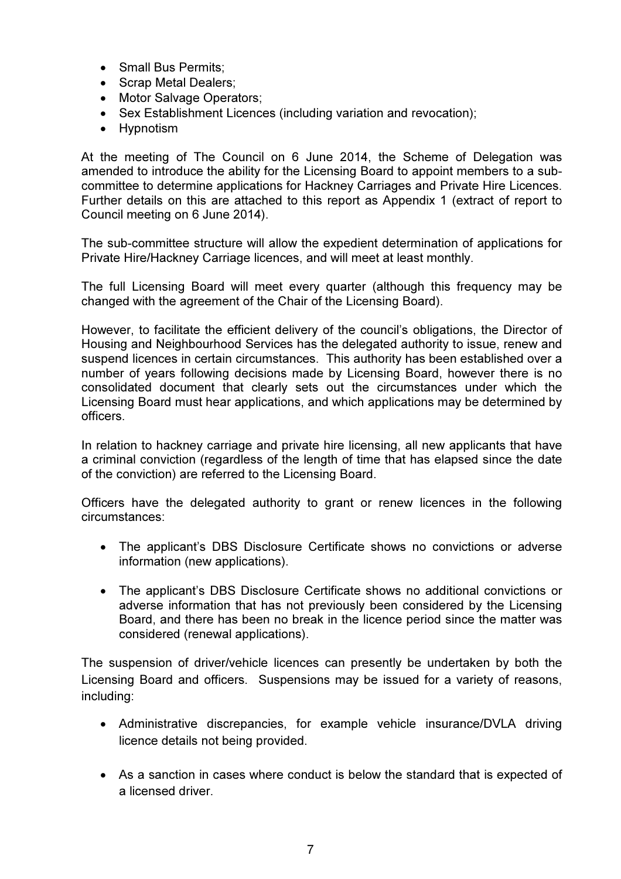- Small Bus Permits:
- Scrap Metal Dealers;
- Motor Salvage Operators;
- Sex Establishment Licences (including variation and revocation);
- Hypnotism

At the meeting of The Council on 6 June 2014, the Scheme of Delegation was amended to introduce the ability for the Licensing Board to appoint members to a subcommittee to determine applications for Hackney Carriages and Private Hire Licences. Further details on this are attached to this report as Appendix 1 (extract of report to Council meeting on 6 June 2014).

The sub-committee structure will allow the expedient determination of applications for Private Hire/Hackney Carriage licences, and will meet at least monthly.

The full Licensing Board will meet every quarter (although this frequency may be changed with the agreement of the Chair of the Licensing Board).

However, to facilitate the efficient delivery of the council's obligations, the Director of Housing and Neighbourhood Services has the delegated authority to issue, renew and suspend licences in certain circumstances. This authority has been established over a number of years following decisions made by Licensing Board, however there is no consolidated document that clearly sets out the circumstances under which the Licensing Board must hear applications, and which applications may be determined by officers.

In relation to hackney carriage and private hire licensing, all new applicants that have a criminal conviction (regardless of the length of time that has elapsed since the date of the conviction) are referred to the Licensing Board.

Officers have the delegated authority to grant or renew licences in the following circumstances:

- The applicant's DBS Disclosure Certificate shows no convictions or adverse information (new applications).
- The applicant's DBS Disclosure Certificate shows no additional convictions or adverse information that has not previously been considered by the Licensing Board, and there has been no break in the licence period since the matter was considered (renewal applications).

The suspension of driver/vehicle licences can presently be undertaken by both the Licensing Board and officers. Suspensions may be issued for a variety of reasons, including:

- Administrative discrepancies, for example vehicle insurance/DVLA driving licence details not being provided.
- As a sanction in cases where conduct is below the standard that is expected of a licensed driver.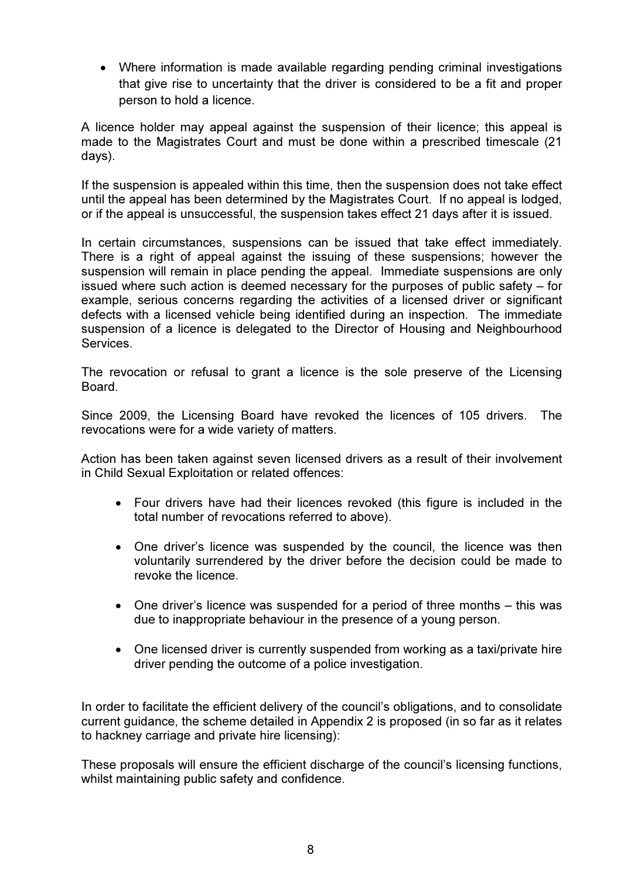• Where information is made available regarding pending criminal investigations that give rise to uncertainty that the driver is considered to be a fit and proper person to hold a licence.

A licence holder may appeal against the suspension of their licence; this appeal is made to the Magistrates Court and must be done within a prescribed timescale (21 days).

If the suspension is appealed within this time, then the suspension does not take effect until the appeal has been determined by the Magistrates Court. If no appeal is lodged, or if the appeal is unsuccessful, the suspension takes effect 21 days after it is issued.

In certain circumstances, suspensions can be issued that take effect immediately. There is a right of appeal against the issuing of these suspensions; however the suspension will remain in place pending the appeal. Immediate suspensions are only issued where such action is deemed necessary for the purposes of public safety – for example, serious concerns regarding the activities of a licensed driver or significant defects with a licensed vehicle being identified during an inspection. The immediate suspension of a licence is delegated to the Director of Housing and Neighbourhood **Services** 

The revocation or refusal to grant a licence is the sole preserve of the Licensing Board.

Since 2009, the Licensing Board have revoked the licences of 105 drivers. The revocations were for a wide variety of matters.

Action has been taken against seven licensed drivers as a result of their involvement in Child Sexual Exploitation or related offences:

- Four drivers have had their licences revoked (this figure is included in the total number of revocations referred to above).
- One driver's licence was suspended by the council, the licence was then voluntarily surrendered by the driver before the decision could be made to revoke the licence.
- One driver's licence was suspended for a period of three months this was due to inappropriate behaviour in the presence of a young person.
- One licensed driver is currently suspended from working as a taxi/private hire driver pending the outcome of a police investigation.

In order to facilitate the efficient delivery of the council's obligations, and to consolidate current guidance, the scheme detailed in Appendix 2 is proposed (in so far as it relates to hackney carriage and private hire licensing):

These proposals will ensure the efficient discharge of the council's licensing functions, whilst maintaining public safety and confidence.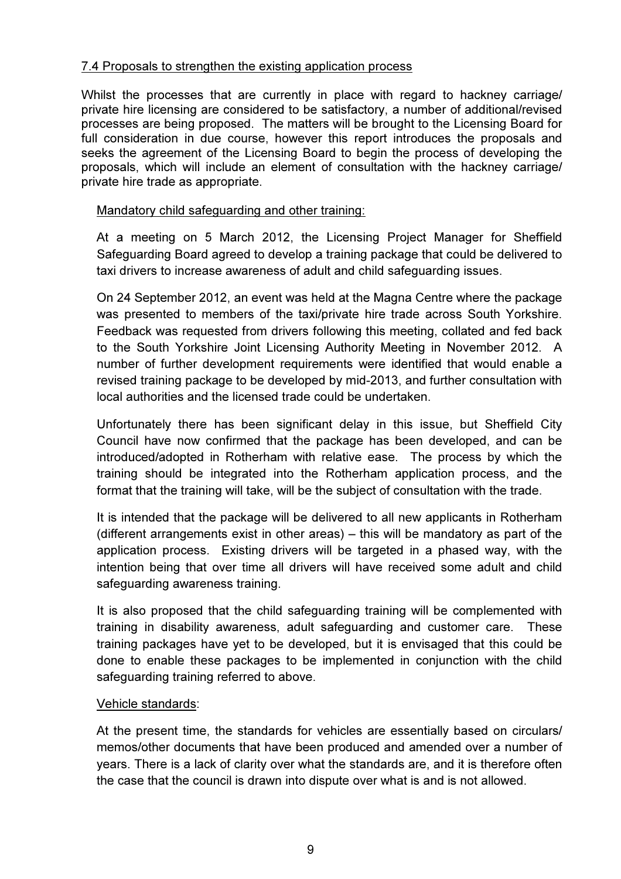# 7.4 Proposals to strengthen the existing application process

Whilst the processes that are currently in place with regard to hackney carriage/ private hire licensing are considered to be satisfactory, a number of additional/revised processes are being proposed. The matters will be brought to the Licensing Board for full consideration in due course, however this report introduces the proposals and seeks the agreement of the Licensing Board to begin the process of developing the proposals, which will include an element of consultation with the hackney carriage/ private hire trade as appropriate.

# Mandatory child safeguarding and other training:

At a meeting on 5 March 2012, the Licensing Project Manager for Sheffield Safeguarding Board agreed to develop a training package that could be delivered to taxi drivers to increase awareness of adult and child safeguarding issues.

On 24 September 2012, an event was held at the Magna Centre where the package was presented to members of the taxi/private hire trade across South Yorkshire. Feedback was requested from drivers following this meeting, collated and fed back to the South Yorkshire Joint Licensing Authority Meeting in November 2012. A number of further development requirements were identified that would enable a revised training package to be developed by mid-2013, and further consultation with local authorities and the licensed trade could be undertaken.

Unfortunately there has been significant delay in this issue, but Sheffield City Council have now confirmed that the package has been developed, and can be introduced/adopted in Rotherham with relative ease. The process by which the training should be integrated into the Rotherham application process, and the format that the training will take, will be the subject of consultation with the trade.

It is intended that the package will be delivered to all new applicants in Rotherham (different arrangements exist in other areas) – this will be mandatory as part of the application process. Existing drivers will be targeted in a phased way, with the intention being that over time all drivers will have received some adult and child safeguarding awareness training.

It is also proposed that the child safeguarding training will be complemented with training in disability awareness, adult safeguarding and customer care. These training packages have yet to be developed, but it is envisaged that this could be done to enable these packages to be implemented in conjunction with the child safeguarding training referred to above.

# Vehicle standards:

At the present time, the standards for vehicles are essentially based on circulars/ memos/other documents that have been produced and amended over a number of years. There is a lack of clarity over what the standards are, and it is therefore often the case that the council is drawn into dispute over what is and is not allowed.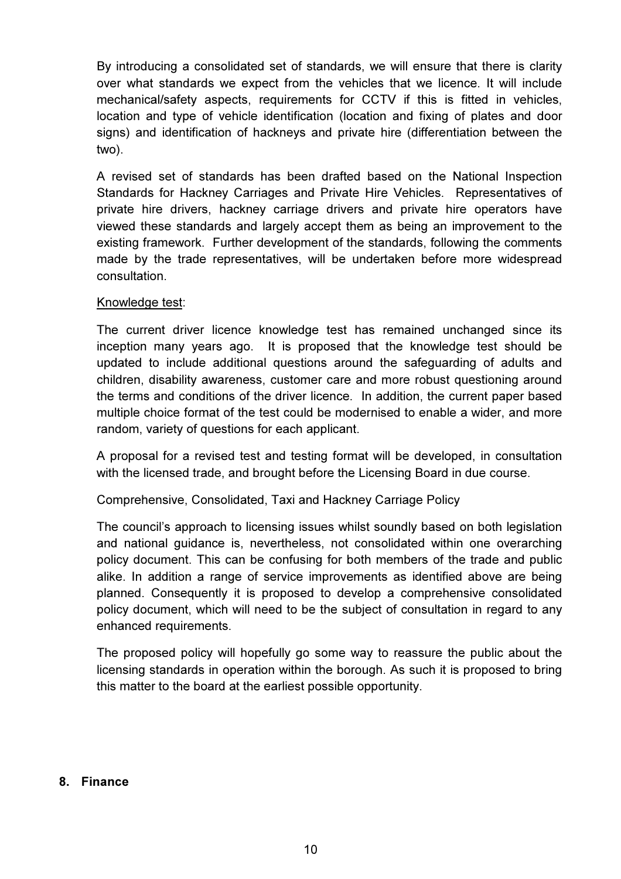By introducing a consolidated set of standards, we will ensure that there is clarity over what standards we expect from the vehicles that we licence. It will include mechanical/safety aspects, requirements for CCTV if this is fitted in vehicles, location and type of vehicle identification (location and fixing of plates and door signs) and identification of hackneys and private hire (differentiation between the two).

A revised set of standards has been drafted based on the National Inspection Standards for Hackney Carriages and Private Hire Vehicles. Representatives of private hire drivers, hackney carriage drivers and private hire operators have viewed these standards and largely accept them as being an improvement to the existing framework. Further development of the standards, following the comments made by the trade representatives, will be undertaken before more widespread consultation.

# Knowledge test:

The current driver licence knowledge test has remained unchanged since its inception many years ago. It is proposed that the knowledge test should be updated to include additional questions around the safeguarding of adults and children, disability awareness, customer care and more robust questioning around the terms and conditions of the driver licence. In addition, the current paper based multiple choice format of the test could be modernised to enable a wider, and more random, variety of questions for each applicant.

A proposal for a revised test and testing format will be developed, in consultation with the licensed trade, and brought before the Licensing Board in due course.

Comprehensive, Consolidated, Taxi and Hackney Carriage Policy

The council's approach to licensing issues whilst soundly based on both legislation and national guidance is, nevertheless, not consolidated within one overarching policy document. This can be confusing for both members of the trade and public alike. In addition a range of service improvements as identified above are being planned. Consequently it is proposed to develop a comprehensive consolidated policy document, which will need to be the subject of consultation in regard to any enhanced requirements.

The proposed policy will hopefully go some way to reassure the public about the licensing standards in operation within the borough. As such it is proposed to bring this matter to the board at the earliest possible opportunity.

#### 8. Finance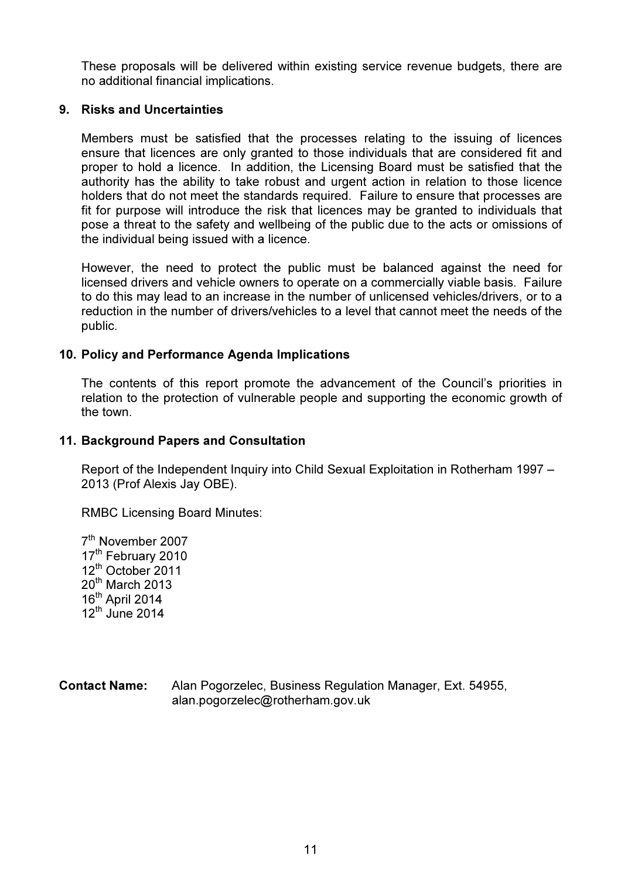These proposals will be delivered within existing service revenue budgets, there are no additional financial implications.

### 9. Risks and Uncertainties

Members must be satisfied that the processes relating to the issuing of licences ensure that licences are only granted to those individuals that are considered fit and proper to hold a licence. In addition, the Licensing Board must be satisfied that the authority has the ability to take robust and urgent action in relation to those licence holders that do not meet the standards required. Failure to ensure that processes are fit for purpose will introduce the risk that licences may be granted to individuals that pose a threat to the safety and wellbeing of the public due to the acts or omissions of the individual being issued with a licence.

However, the need to protect the public must be balanced against the need for licensed drivers and vehicle owners to operate on a commercially viable basis. Failure to do this may lead to an increase in the number of unlicensed vehicles/drivers, or to a reduction in the number of drivers/vehicles to a level that cannot meet the needs of the public.

# 10. Policy and Performance Agenda Implications

The contents of this report promote the advancement of the Council's priorities in relation to the protection of vulnerable people and supporting the economic growth of the town.

# 11. Background Papers and Consultation

Report of the Independent Inquiry into Child Sexual Exploitation in Rotherham 1997 – 2013 (Prof Alexis Jay OBE).

RMBC Licensing Board Minutes:

7<sup>th</sup> November 2007 17<sup>th</sup> February 2010 12<sup>th</sup> October 2011 20<sup>th</sup> March 2013 16<sup>th</sup> April 2014 12th June 2014

Contact Name: Alan Pogorzelec, Business Regulation Manager, Ext. 54955, alan.pogorzelec@rotherham.gov.uk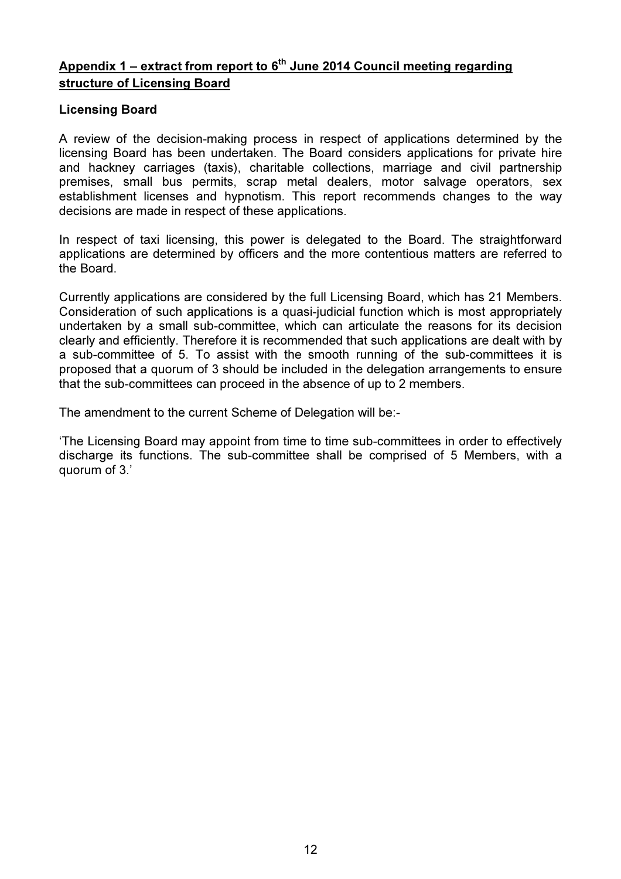# Appendix 1 – extract from report to  $6<sup>th</sup>$  June 2014 Council meeting regarding structure of Licensing Board

# Licensing Board

A review of the decision-making process in respect of applications determined by the licensing Board has been undertaken. The Board considers applications for private hire and hackney carriages (taxis), charitable collections, marriage and civil partnership premises, small bus permits, scrap metal dealers, motor salvage operators, sex establishment licenses and hypnotism. This report recommends changes to the way decisions are made in respect of these applications.

In respect of taxi licensing, this power is delegated to the Board. The straightforward applications are determined by officers and the more contentious matters are referred to the Board.

Currently applications are considered by the full Licensing Board, which has 21 Members. Consideration of such applications is a quasi-judicial function which is most appropriately undertaken by a small sub-committee, which can articulate the reasons for its decision clearly and efficiently. Therefore it is recommended that such applications are dealt with by a sub-committee of 5. To assist with the smooth running of the sub-committees it is proposed that a quorum of 3 should be included in the delegation arrangements to ensure that the sub-committees can proceed in the absence of up to 2 members.

The amendment to the current Scheme of Delegation will be:-

'The Licensing Board may appoint from time to time sub-committees in order to effectively discharge its functions. The sub-committee shall be comprised of 5 Members, with a quorum of 3.'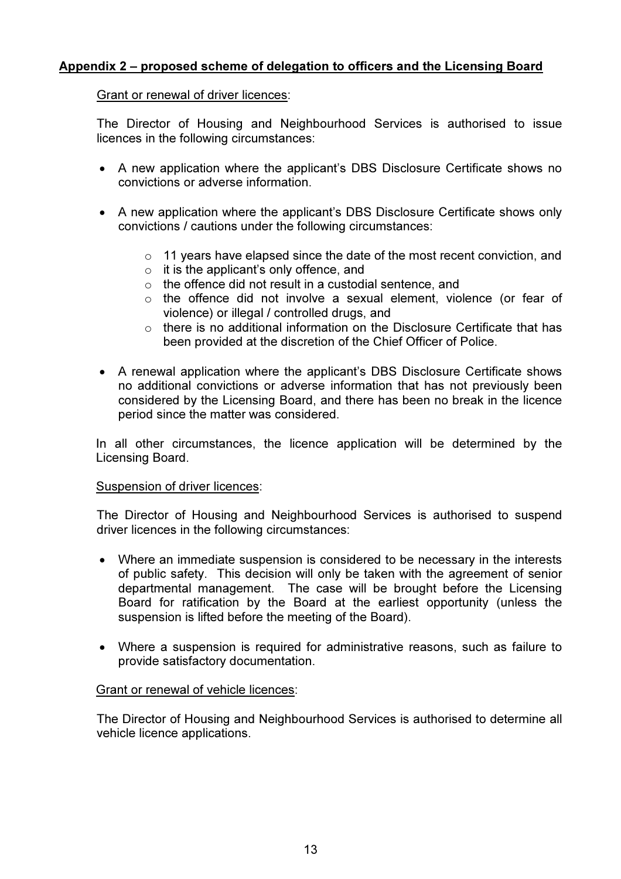# Appendix 2 – proposed scheme of delegation to officers and the Licensing Board

### Grant or renewal of driver licences:

The Director of Housing and Neighbourhood Services is authorised to issue licences in the following circumstances:

- A new application where the applicant's DBS Disclosure Certificate shows no convictions or adverse information.
- A new application where the applicant's DBS Disclosure Certificate shows only convictions / cautions under the following circumstances:
	- o 11 years have elapsed since the date of the most recent conviction, and
	- $\circ$  it is the applicant's only offence, and
	- o the offence did not result in a custodial sentence, and
	- o the offence did not involve a sexual element, violence (or fear of violence) or illegal / controlled drugs, and
	- o there is no additional information on the Disclosure Certificate that has been provided at the discretion of the Chief Officer of Police.
- A renewal application where the applicant's DBS Disclosure Certificate shows no additional convictions or adverse information that has not previously been considered by the Licensing Board, and there has been no break in the licence period since the matter was considered.

In all other circumstances, the licence application will be determined by the Licensing Board.

#### Suspension of driver licences:

The Director of Housing and Neighbourhood Services is authorised to suspend driver licences in the following circumstances:

- Where an immediate suspension is considered to be necessary in the interests of public safety. This decision will only be taken with the agreement of senior departmental management. The case will be brought before the Licensing Board for ratification by the Board at the earliest opportunity (unless the suspension is lifted before the meeting of the Board).
- Where a suspension is required for administrative reasons, such as failure to provide satisfactory documentation.

#### Grant or renewal of vehicle licences:

The Director of Housing and Neighbourhood Services is authorised to determine all vehicle licence applications.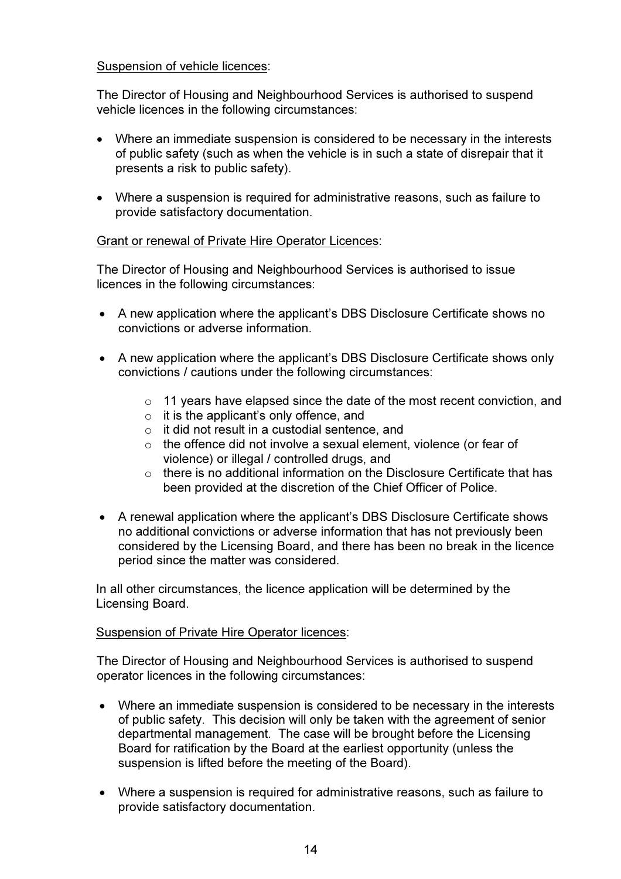# Suspension of vehicle licences:

The Director of Housing and Neighbourhood Services is authorised to suspend vehicle licences in the following circumstances:

- Where an immediate suspension is considered to be necessary in the interests of public safety (such as when the vehicle is in such a state of disrepair that it presents a risk to public safety).
- Where a suspension is required for administrative reasons, such as failure to provide satisfactory documentation.

# Grant or renewal of Private Hire Operator Licences:

The Director of Housing and Neighbourhood Services is authorised to issue licences in the following circumstances:

- A new application where the applicant's DBS Disclosure Certificate shows no convictions or adverse information.
- A new application where the applicant's DBS Disclosure Certificate shows only convictions / cautions under the following circumstances:
	- $\circ$  11 years have elapsed since the date of the most recent conviction, and
	- $\circ$  it is the applicant's only offence, and
	- o it did not result in a custodial sentence, and
	- o the offence did not involve a sexual element, violence (or fear of violence) or illegal / controlled drugs, and
	- o there is no additional information on the Disclosure Certificate that has been provided at the discretion of the Chief Officer of Police.
- A renewal application where the applicant's DBS Disclosure Certificate shows no additional convictions or adverse information that has not previously been considered by the Licensing Board, and there has been no break in the licence period since the matter was considered.

In all other circumstances, the licence application will be determined by the Licensing Board.

# Suspension of Private Hire Operator licences:

The Director of Housing and Neighbourhood Services is authorised to suspend operator licences in the following circumstances:

- Where an immediate suspension is considered to be necessary in the interests of public safety. This decision will only be taken with the agreement of senior departmental management. The case will be brought before the Licensing Board for ratification by the Board at the earliest opportunity (unless the suspension is lifted before the meeting of the Board).
- Where a suspension is required for administrative reasons, such as failure to provide satisfactory documentation.